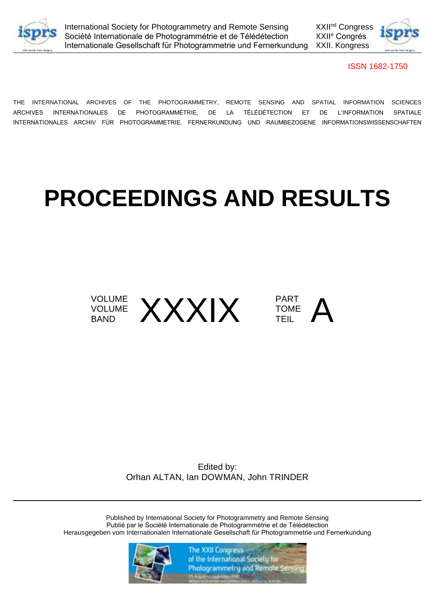



ISSN 1682-1750

THE INTERNATIONAL ARCHIVES OF THE PHOTOGRAMMETRY, REMOTE SENSING AND SPATIAL INFORMATION SCIENCES ARCHIVES INTERNATIONALES DE PHOTOGRAMMÉTRIE, DE LA TÉLÉDÉTECTION ET DE L'INFORMATION SPATIALE INTERNATIONALES ARCHIV FÜR PHOTOGRAMMETRIE, FERNERKUNDUNG UND RAUMBEZOGENE INFORMATIONSWISSENSCHAFTEN

# **PROCEEDINGS AND RESULTS**



Edited by: Orhan ALTAN, Ian DOWMAN, John TRINDER

Published by International Society for Photogrammetry and Remote Sensing Publié par le Société Internationale de Photogrammétrie et de Télédétection Herausgegeben vom Internationalen Internationale Gesellschaft für Photogrammetrie und Fernerkundung